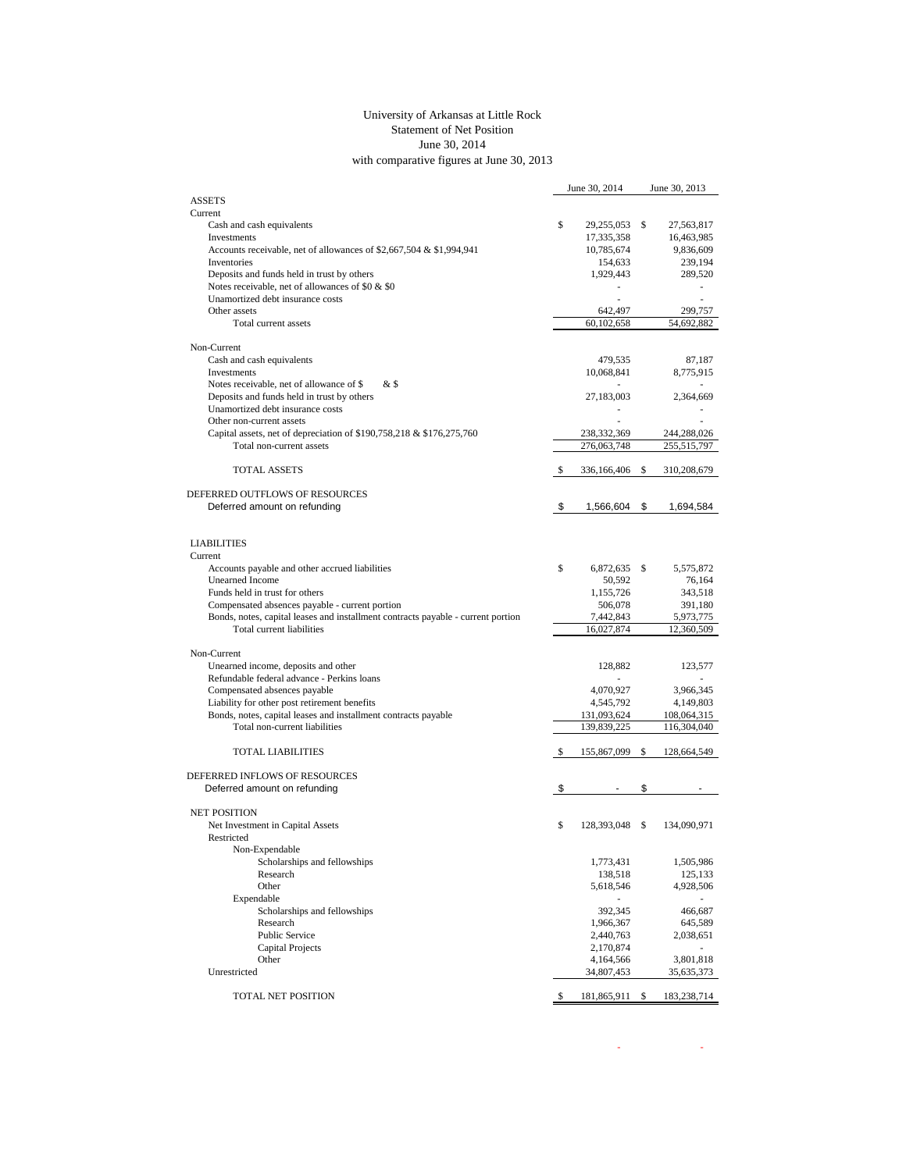## University of Arkansas at Little Rock Statement of Net Position June 30, 2014 with comparative figures at June 30, 2013

|                                                                                  |    | June 30, 2014           |    | June 30, 2013           |
|----------------------------------------------------------------------------------|----|-------------------------|----|-------------------------|
| <b>ASSETS</b>                                                                    |    |                         |    |                         |
| Current                                                                          |    |                         |    |                         |
| Cash and cash equivalents                                                        | \$ | 29,255,053              | \$ | 27,563,817              |
| Investments                                                                      |    | 17,335,358              |    | 16,463,985              |
| Accounts receivable, net of allowances of \$2,667,504 & \$1,994,941              |    | 10,785,674              |    | 9,836,609               |
| Inventories<br>Deposits and funds held in trust by others                        |    | 154,633<br>1,929,443    |    | 239,194<br>289,520      |
| Notes receivable, net of allowances of \$0 & \$0                                 |    |                         |    |                         |
| Unamortized debt insurance costs                                                 |    | ä,                      |    | $\overline{a}$          |
| Other assets                                                                     |    | 642,497                 |    | 299,757                 |
| Total current assets                                                             |    | 60,102,658              |    | 54,692,882              |
|                                                                                  |    |                         |    |                         |
| Non-Current                                                                      |    |                         |    |                         |
| Cash and cash equivalents                                                        |    | 479,535                 |    | 87,187                  |
| Investments                                                                      |    | 10,068,841              |    | 8,775,915               |
| Notes receivable, net of allowance of \$<br>& \$                                 |    | ٠                       |    |                         |
| Deposits and funds held in trust by others                                       |    | 27,183,003              |    | 2,364,669               |
| Unamortized debt insurance costs                                                 |    |                         |    |                         |
| Other non-current assets                                                         |    |                         |    |                         |
| Capital assets, net of depreciation of \$190,758,218 & \$176,275,760             |    | 238,332,369             |    | 244,288,026             |
| Total non-current assets                                                         |    | 276,063,748             |    | 255,515,797             |
| <b>TOTAL ASSETS</b>                                                              |    |                         |    |                         |
|                                                                                  | S  | 336,166,406             | \$ | 310,208,679             |
| DEFERRED OUTFLOWS OF RESOURCES                                                   |    |                         |    |                         |
| Deferred amount on refunding                                                     | \$ | 1,566,604               | \$ | 1,694,584               |
|                                                                                  |    |                         |    |                         |
|                                                                                  |    |                         |    |                         |
| <b>LIABILITIES</b>                                                               |    |                         |    |                         |
| Current                                                                          |    |                         |    |                         |
| Accounts payable and other accrued liabilities                                   | \$ | 6,872,635               | \$ | 5,575,872               |
| <b>Unearned Income</b>                                                           |    | 50,592                  |    | 76,164                  |
| Funds held in trust for others                                                   |    | 1,155,726               |    | 343,518                 |
| Compensated absences payable - current portion                                   |    | 506,078                 |    | 391,180                 |
| Bonds, notes, capital leases and installment contracts payable - current portion |    | 7,442,843               |    | 5,973,775               |
| Total current liabilities                                                        |    | 16,027,874              |    | 12,360,509              |
|                                                                                  |    |                         |    |                         |
| Non-Current                                                                      |    |                         |    |                         |
| Unearned income, deposits and other                                              |    | 128,882                 |    | 123,577                 |
| Refundable federal advance - Perkins loans<br>Compensated absences payable       |    |                         |    |                         |
| Liability for other post retirement benefits                                     |    | 4,070,927<br>4,545,792  |    | 3,966,345<br>4,149,803  |
| Bonds, notes, capital leases and installment contracts payable                   |    | 131,093,624             |    | 108,064,315             |
| Total non-current liabilities                                                    |    | 139,839,225             |    | 116,304,040             |
|                                                                                  |    |                         |    |                         |
| <b>TOTAL LIABILITIES</b>                                                         | S  | 155,867,099             | -S | 128,664,549             |
|                                                                                  |    |                         |    |                         |
| DEFERRED INFLOWS OF RESOURCES                                                    |    |                         |    |                         |
| Deferred amount on refunding                                                     | \$ |                         | \$ |                         |
|                                                                                  |    |                         |    |                         |
| <b>NET POSITION</b>                                                              |    |                         |    |                         |
| Net Investment in Capital Assets                                                 | \$ | 128,393,048             | \$ | 134,090,971             |
| Restricted                                                                       |    |                         |    |                         |
| Non-Expendable                                                                   |    |                         |    |                         |
| Scholarships and fellowships                                                     |    | 1,773,431               |    | 1,505,986               |
| Research                                                                         |    | 138,518                 |    | 125,133                 |
| Other                                                                            |    | 5,618,546               |    | 4,928,506               |
| Expendable                                                                       |    |                         |    |                         |
| Scholarships and fellowships                                                     |    | 392,345                 |    | 466,687                 |
| Research                                                                         |    | 1,966,367               |    | 645,589                 |
| Public Service                                                                   |    | 2,440,763               |    | 2,038,651               |
| Capital Projects<br>Other                                                        |    | 2,170,874               |    |                         |
| Unrestricted                                                                     |    | 4,164,566<br>34,807,453 |    | 3,801,818<br>35,635,373 |
|                                                                                  |    |                         |    |                         |
| TOTAL NET POSITION                                                               | \$ | 181,865,911 \$          |    | 183,238,714             |
|                                                                                  |    |                         |    |                         |

 $\sim$  -  $\sim$  -  $\sim$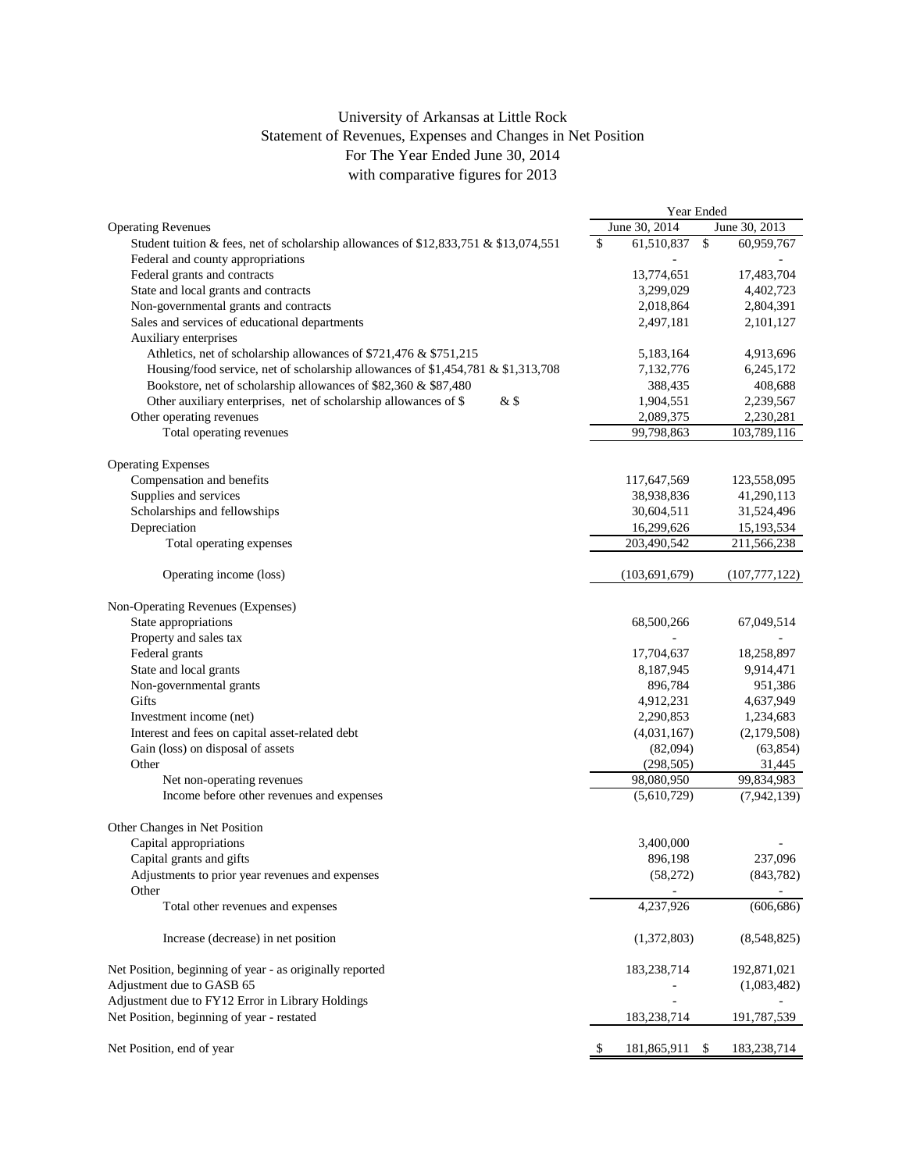## University of Arkansas at Little Rock Statement of Revenues, Expenses and Changes in Net Position For The Year Ended June 30, 2014 with comparative figures for 2013

|                                                                                                | Year Ended        |              |                 |
|------------------------------------------------------------------------------------------------|-------------------|--------------|-----------------|
| <b>Operating Revenues</b>                                                                      | June 30, 2014     |              | June 30, 2013   |
| Student tuition & fees, net of scholarship allowances of \$12,833,751 & \$13,074,551           | \$<br>61,510,837  | $\mathbb{S}$ | 60,959,767      |
| Federal and county appropriations                                                              |                   |              |                 |
| Federal grants and contracts                                                                   | 13,774,651        |              | 17,483,704      |
| State and local grants and contracts                                                           | 3,299,029         |              | 4,402,723       |
| Non-governmental grants and contracts                                                          | 2,018,864         |              | 2,804,391       |
| Sales and services of educational departments                                                  | 2,497,181         |              | 2,101,127       |
| Auxiliary enterprises                                                                          |                   |              |                 |
| Athletics, net of scholarship allowances of \$721,476 & \$751,215                              | 5,183,164         |              | 4,913,696       |
| Housing/food service, net of scholarship allowances of \$1,454,781 & \$1,313,708               | 7,132,776         |              | 6,245,172       |
| Bookstore, net of scholarship allowances of \$82,360 & \$87,480                                | 388,435           |              | 408,688         |
| Other auxiliary enterprises, net of scholarship allowances of \$<br>$&$ \$                     | 1,904,551         |              | 2,239,567       |
| Other operating revenues                                                                       | 2,089,375         |              | 2,230,281       |
| Total operating revenues                                                                       | 99,798,863        |              | 103,789,116     |
|                                                                                                |                   |              |                 |
| <b>Operating Expenses</b>                                                                      |                   |              |                 |
| Compensation and benefits                                                                      | 117,647,569       |              | 123,558,095     |
| Supplies and services                                                                          | 38,938,836        |              | 41,290,113      |
| Scholarships and fellowships                                                                   | 30,604,511        |              | 31,524,496      |
| Depreciation                                                                                   | 16,299,626        |              | 15,193,534      |
| Total operating expenses                                                                       | 203,490,542       |              | 211,566,238     |
|                                                                                                |                   |              |                 |
| Operating income (loss)                                                                        | (103, 691, 679)   |              | (107, 777, 122) |
| Non-Operating Revenues (Expenses)                                                              |                   |              |                 |
| State appropriations                                                                           | 68,500,266        |              | 67,049,514      |
| Property and sales tax                                                                         |                   |              |                 |
| Federal grants                                                                                 | 17,704,637        |              | 18,258,897      |
| State and local grants                                                                         | 8,187,945         |              | 9,914,471       |
| Non-governmental grants                                                                        | 896,784           |              | 951,386         |
| Gifts                                                                                          | 4,912,231         |              | 4,637,949       |
| Investment income (net)                                                                        | 2,290,853         |              | 1,234,683       |
| Interest and fees on capital asset-related debt                                                | (4,031,167)       |              | (2,179,508)     |
| Gain (loss) on disposal of assets                                                              | (82,094)          |              | (63, 854)       |
| Other                                                                                          | (298, 505)        |              | 31,445          |
| Net non-operating revenues                                                                     | 98,080,950        |              | 99,834,983      |
| Income before other revenues and expenses                                                      | (5,610,729)       |              | (7,942,139)     |
| Other Changes in Net Position                                                                  |                   |              |                 |
| Capital appropriations                                                                         | 3,400,000         |              |                 |
| Capital grants and gifts                                                                       | 896,198           |              | 237,096         |
| Adjustments to prior year revenues and expenses                                                | (58,272)          |              | (843, 782)      |
| Other                                                                                          |                   |              |                 |
| Total other revenues and expenses                                                              | 4,237,926         |              | (606, 686)      |
| Increase (decrease) in net position                                                            | (1,372,803)       |              | (8,548,825)     |
|                                                                                                | 183,238,714       |              | 192,871,021     |
| Net Position, beginning of year - as originally reported<br>Adjustment due to GASB 65          |                   |              |                 |
|                                                                                                |                   |              | (1,083,482)     |
| Adjustment due to FY12 Error in Library Holdings<br>Net Position, beginning of year - restated | 183,238,714       |              | 191,787,539     |
| Net Position, end of year                                                                      | \$<br>181,865,911 | \$           | 183,238,714     |
|                                                                                                |                   |              |                 |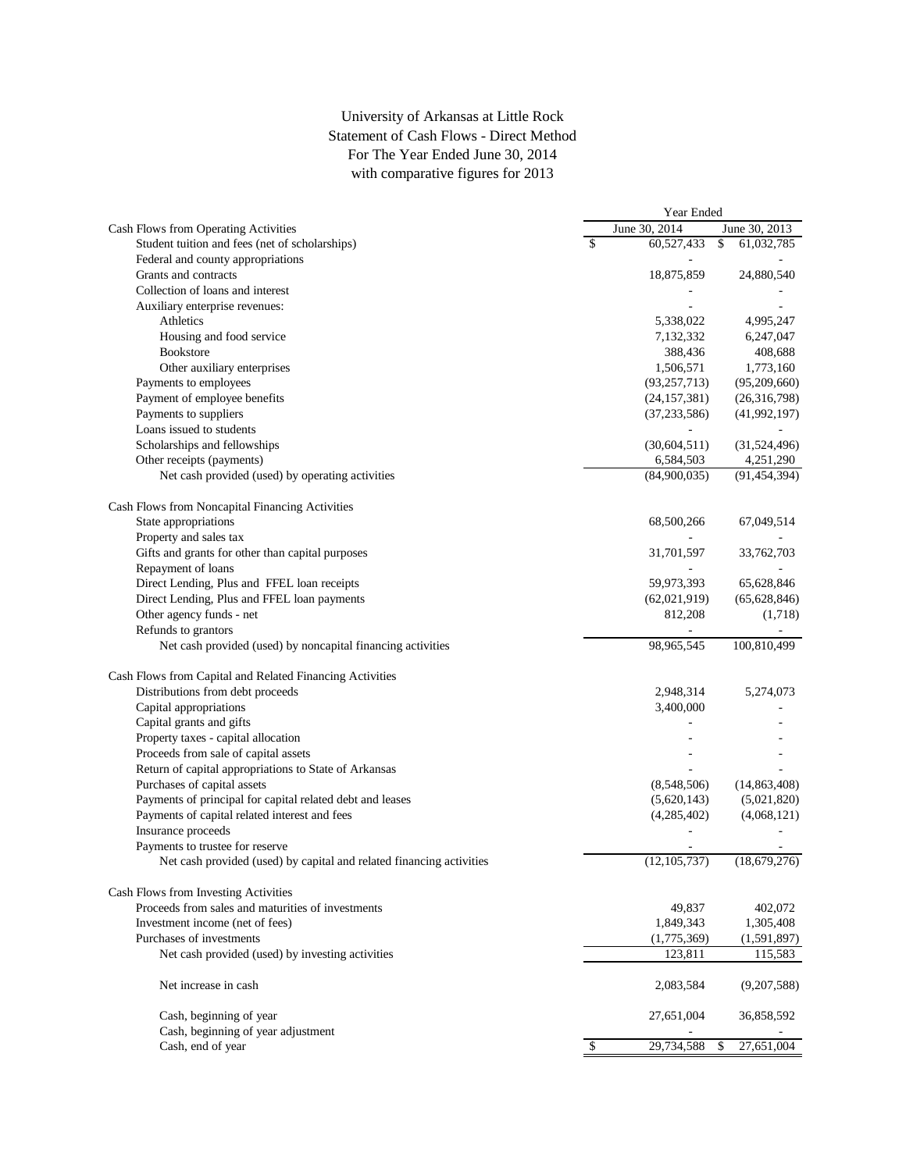## University of Arkansas at Little Rock Statement of Cash Flows - Direct Method For The Year Ended June 30, 2014 with comparative figures for 2013

|                                                                      | Year Ended |                |    |                |
|----------------------------------------------------------------------|------------|----------------|----|----------------|
| Cash Flows from Operating Activities                                 |            | June 30, 2014  |    | June 30, 2013  |
| Student tuition and fees (net of scholarships)                       | \$         | 60,527,433     | \$ | 61,032,785     |
| Federal and county appropriations                                    |            |                |    |                |
| Grants and contracts                                                 |            | 18,875,859     |    | 24,880,540     |
| Collection of loans and interest                                     |            |                |    |                |
| Auxiliary enterprise revenues:                                       |            |                |    |                |
| Athletics                                                            |            | 5,338,022      |    | 4,995,247      |
| Housing and food service                                             |            | 7,132,332      |    | 6,247,047      |
| <b>Bookstore</b>                                                     |            | 388,436        |    | 408,688        |
| Other auxiliary enterprises                                          |            | 1,506,571      |    | 1,773,160      |
| Payments to employees                                                |            | (93, 257, 713) |    | (95,209,660)   |
| Payment of employee benefits                                         |            | (24, 157, 381) |    | (26,316,798)   |
| Payments to suppliers                                                |            | (37, 233, 586) |    | (41, 992, 197) |
| Loans issued to students                                             |            |                |    |                |
| Scholarships and fellowships                                         |            | (30,604,511)   |    | (31,524,496)   |
| Other receipts (payments)                                            |            | 6,584,503      |    | 4,251,290      |
| Net cash provided (used) by operating activities                     |            | (84,900,035)   |    | (91, 454, 394) |
|                                                                      |            |                |    |                |
| Cash Flows from Noncapital Financing Activities                      |            |                |    |                |
| State appropriations                                                 |            | 68,500,266     |    | 67,049,514     |
| Property and sales tax                                               |            |                |    |                |
| Gifts and grants for other than capital purposes                     |            | 31,701,597     |    | 33,762,703     |
| Repayment of loans                                                   |            |                |    |                |
| Direct Lending, Plus and FFEL loan receipts                          |            | 59,973,393     |    | 65,628,846     |
| Direct Lending, Plus and FFEL loan payments                          |            | (62,021,919)   |    | (65, 628, 846) |
| Other agency funds - net                                             |            | 812,208        |    | (1,718)        |
| Refunds to grantors                                                  |            |                |    |                |
| Net cash provided (used) by noncapital financing activities          |            | 98,965,545     |    | 100,810,499    |
| Cash Flows from Capital and Related Financing Activities             |            |                |    |                |
| Distributions from debt proceeds                                     |            | 2,948,314      |    | 5,274,073      |
| Capital appropriations                                               |            | 3,400,000      |    |                |
| Capital grants and gifts                                             |            |                |    |                |
| Property taxes - capital allocation                                  |            |                |    |                |
| Proceeds from sale of capital assets                                 |            |                |    |                |
| Return of capital appropriations to State of Arkansas                |            |                |    |                |
| Purchases of capital assets                                          |            | (8,548,506)    |    | (14, 863, 408) |
| Payments of principal for capital related debt and leases            |            | (5,620,143)    |    | (5,021,820)    |
| Payments of capital related interest and fees                        |            | (4,285,402)    |    | (4,068,121)    |
| Insurance proceeds                                                   |            |                |    |                |
| Payments to trustee for reserve                                      |            |                |    |                |
| Net cash provided (used) by capital and related financing activities |            | (12, 105, 737) |    | (18,679,276)   |
|                                                                      |            |                |    |                |
| Cash Flows from Investing Activities                                 |            |                |    |                |
| Proceeds from sales and maturities of investments                    |            | 49,837         |    | 402,072        |
| Investment income (net of fees)                                      |            | 1,849,343      |    | 1,305,408      |
| Purchases of investments                                             |            | (1,775,369)    |    | (1,591,897)    |
| Net cash provided (used) by investing activities                     |            | 123,811        |    | 115,583        |
| Net increase in cash                                                 |            | 2,083,584      |    | (9,207,588)    |
| Cash, beginning of year                                              |            | 27,651,004     |    | 36,858,592     |
| Cash, beginning of year adjustment                                   |            |                |    |                |
| Cash, end of year                                                    | \$         | 29,734,588     | \$ | 27,651,004     |